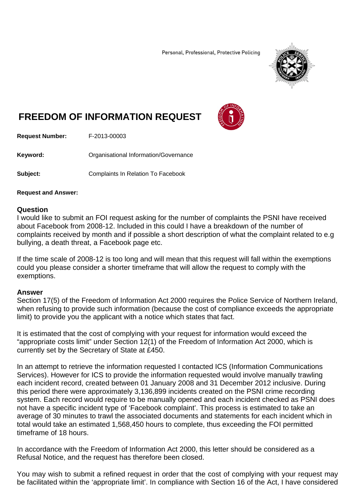Personal, Professional, Protective Policing



## **FREEDOM OF INFORMATION REQUEST**



**Request Number:** F-2013-00003

**Keyword: C**rganisational Information/Governance

**Subject: Complaints In Relation To Facebook** 

## **Request and Answer:**

## **Question**

I would like to submit an FOI request asking for the number of complaints the PSNI have received about Facebook from 2008-12. Included in this could I have a breakdown of the number of complaints received by month and if possible a short description of what the complaint related to e.g bullying, a death threat, a Facebook page etc.

If the time scale of 2008-12 is too long and will mean that this request will fall within the exemptions could you please consider a shorter timeframe that will allow the request to comply with the exemptions.

## **Answer**

Section 17(5) of the Freedom of Information Act 2000 requires the Police Service of Northern Ireland, when refusing to provide such information (because the cost of compliance exceeds the appropriate limit) to provide you the applicant with a notice which states that fact.

It is estimated that the cost of complying with your request for information would exceed the "appropriate costs limit" under Section 12(1) of the Freedom of Information Act 2000, which is currently set by the Secretary of State at £450.

In an attempt to retrieve the information requested I contacted ICS (Information Communications Services). However for ICS to provide the information requested would involve manually trawling each incident record, created between 01 January 2008 and 31 December 2012 inclusive. During this period there were approximately 3,136,899 incidents created on the PSNI crime recording system. Each record would require to be manually opened and each incident checked as PSNI does not have a specific incident type of 'Facebook complaint'. This process is estimated to take an average of 30 minutes to trawl the associated documents and statements for each incident which in total would take an estimated 1,568,450 hours to complete, thus exceeding the FOI permitted timeframe of 18 hours.

In accordance with the Freedom of Information Act 2000, this letter should be considered as a Refusal Notice, and the request has therefore been closed.

You may wish to submit a refined request in order that the cost of complying with your request may be facilitated within the 'appropriate limit'. In compliance with Section 16 of the Act, I have considered